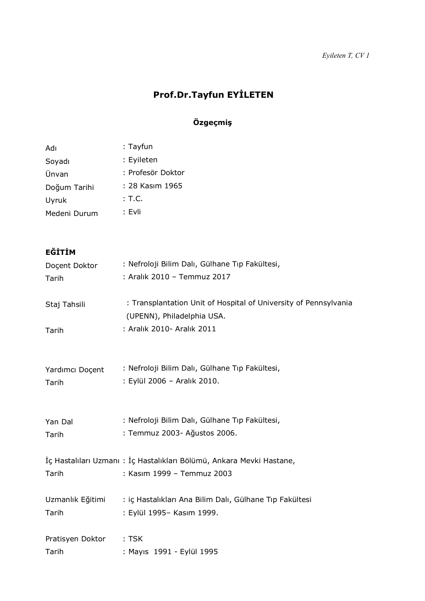# **Prof.Dr.Tayfun EYİLETEN**

# **Özgeçmiş**

| Adı          | : Tayfun          |
|--------------|-------------------|
| Soyadı       | : Eyileten        |
| Ünvan        | : Profesör Doktor |
| Doğum Tarihi | : 28 Kasım 1965   |
| Uyruk        | : T.C.            |
| Medeni Durum | : Evli            |

# **EĞİTİM**

| Docent Doktor         | : Nefroloji Bilim Dalı, Gülhane Tıp Fakültesi,                                                                               |
|-----------------------|------------------------------------------------------------------------------------------------------------------------------|
| Tarih                 | : Aralık 2010 - Temmuz 2017                                                                                                  |
| Staj Tahsili<br>Tarih | : Transplantation Unit of Hospital of University of Pennsylvania<br>(UPENN), Philadelphia USA.<br>: Aralık 2010- Aralık 2011 |
| Yardımcı Doçent       | : Nefroloji Bilim Dalı, Gülhane Tıp Fakültesi,                                                                               |
| Tarih                 | : Eylül 2006 - Aralık 2010.                                                                                                  |
| Yan Dal               | : Nefroloji Bilim Dalı, Gülhane Tıp Fakültesi,                                                                               |
| Tarih                 | : Temmuz 2003- Ağustos 2006.                                                                                                 |
| Tarih                 | İç Hastalıları Uzmanı: İç Hastalıkları Bölümü, Ankara Mevki Hastane,<br>: Kasım 1999 - Temmuz 2003                           |
| Uzmanlık Eğitimi      | : iç Hastalıkları Ana Bilim Dalı, Gülhane Tıp Fakültesi                                                                      |
| Tarih                 | : Eylül 1995- Kasım 1999.                                                                                                    |
| Pratisyen Doktor      | $:$ TSK                                                                                                                      |
| Tarih                 | : Mayıs 1991 - Eylül 1995                                                                                                    |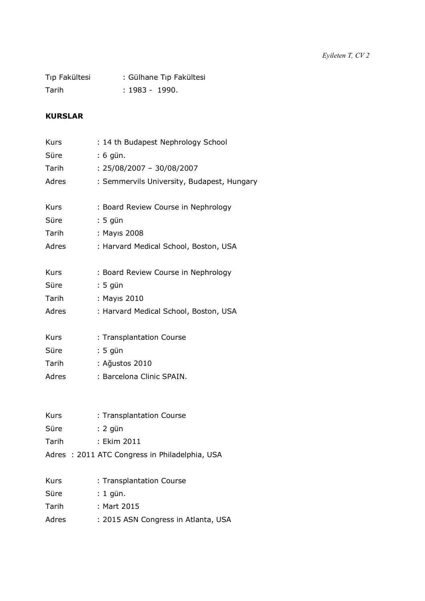| Tıp Fakültesi | : Gülhane Tıp Fakültesi |
|---------------|-------------------------|
| Tarih         | : 1983 - 1990.          |

## **KURSLAR**

| <b>Kurs</b> | : 14 th Budapest Nephrology School         |
|-------------|--------------------------------------------|
| Süre        | : 6 gün.                                   |
| Tarih       | : 25/08/2007 - 30/08/2007                  |
| Adres       | : Semmervils University, Budapest, Hungary |
| <b>Kurs</b> | : Board Review Course in Nephrology        |
| Süre        | : 5 gün                                    |
| Tarih       | : Mayıs 2008                               |
| Adres       | : Harvard Medical School, Boston, USA      |
| Kurs        | : Board Review Course in Nephrology        |
| Süre        | : 5 gün                                    |
| Tarih       | : Mayıs 2010                               |
| Adres       | : Harvard Medical School, Boston, USA      |
| <b>Kurs</b> | : Transplantation Course                   |
| Süre        | : 5 gün                                    |
| Tarih       | : Ağustos 2010                             |
| Adres       | : Barcelona Clinic SPAIN.                  |

| <b>Kurs</b> | : Transplantation Course                      |
|-------------|-----------------------------------------------|
| Süre        | : 2 aün                                       |
| Tarih       | : Ekim 2011                                   |
|             | Adres: 2011 ATC Congress in Philadelphia, USA |

| <b>Kurs</b> | : Transplantation Course            |
|-------------|-------------------------------------|
| Süre        | : 1 gün.                            |
| Tarih       | : Mart 2015                         |
| Adres       | : 2015 ASN Congress in Atlanta, USA |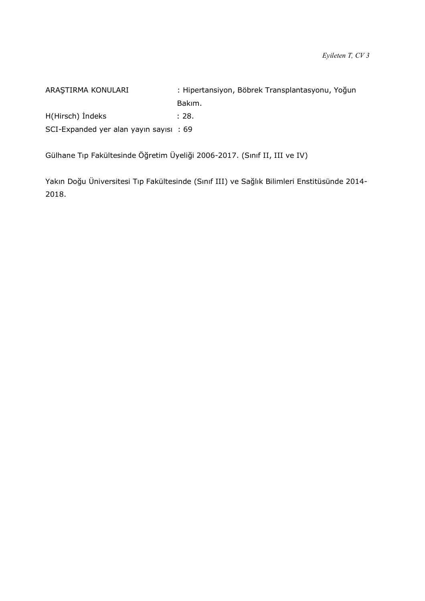ARAŞTIRMA KONULARI : Hipertansiyon, Böbrek Transplantasyonu, Yoğun Bakım. H(Hirsch) Indeks : 28. SCI-Expanded yer alan yayın sayısı : 69

Gülhane Tıp Fakültesinde Öğretim Üyeliği 2006-2017. (Sınıf II, III ve IV)

Yakın Doğu Üniversitesi Tıp Fakültesinde (Sınıf III) ve Sağlık Bilimleri Enstitüsünde 2014- 2018.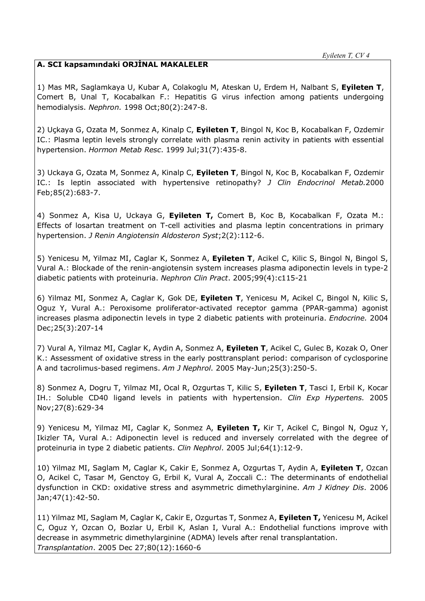### **A. SCI kapsamındaki ORJİNAL MAKALELER**

1) Mas MR, Saglamkaya U, Kubar A, Colakoglu M, Ateskan U, Erdem H, Nalbant S, **Eyileten T**, Comert B, Unal T, Kocabalkan F.: Hepatitis G virus infection among patients undergoing hemodialysis. *Nephron.* 1998 Oct;80(2):247-8.

2) Uçkaya G, Ozata M, Sonmez A, Kinalp C, **Eyileten T**, Bingol N, Koc B, Kocabalkan F, Ozdemir IC.: Plasma leptin levels strongly correlate with plasma renin activity in patients with essential hypertension. *Hormon Metab Resc*. 1999 Jul;31(7):435-8.

3) Uckaya G, Ozata M, Sonmez A, Kinalp C, **Eyileten T**, Bingol N, Koc B, Kocabalkan F, Ozdemir IC.: Is leptin associated with hypertensive retinopathy? *J Clin Endocrinol Metab.*2000 Feb;85(2):683-7.

4) Sonmez A, Kisa U, Uckaya G, **Eyileten T,** Comert B, Koc B, Kocabalkan F, Ozata M.: Effects of losartan treatment on T-cell activities and plasma leptin concentrations in primary hypertension. *J Renin Angiotensin Aldosteron Syst*;2(2):112-6.

5) Yenicesu M, Yilmaz MI, Caglar K, Sonmez A, **Eyileten T**, Acikel C, Kilic S, Bingol N, Bingol S, Vural A.: Blockade of the renin-angiotensin system increases plasma adiponectin levels in type-2 diabetic patients with proteinuria. *Nephron Clin Pract*. 2005;99(4):c115-21

6) Yilmaz MI, Sonmez A, Caglar K, Gok DE, **Eyileten T**, Yenicesu M, Acikel C, Bingol N, Kilic S, Oguz Y, Vural A.: Peroxisome proliferator-activated receptor gamma (PPAR-gamma) agonist increases plasma adiponectin levels in type 2 diabetic patients with proteinuria. *Endocrine.* 2004 Dec;25(3):207-14

7) Vural A, Yilmaz MI, Caglar K, Aydin A, Sonmez A, **Eyileten T**, Acikel C, Gulec B, Kozak O, Oner K.: Assessment of oxidative stress in the early posttransplant period: comparison of cyclosporine A and tacrolimus-based regimens. *Am J Nephrol*. 2005 May-Jun;25(3):250-5.

8) Sonmez A, Dogru T, Yilmaz MI, Ocal R, Ozgurtas T, Kilic S, **Eyileten T**, Tasci I, Erbil K, Kocar IH.: Soluble CD40 ligand levels in patients with hypertension. *Clin Exp Hypertens.* 2005 Nov;27(8):629-34

9) Yenicesu M, Yilmaz MI, Caglar K, Sonmez A, **Eyileten T,** Kir T, Acikel C, Bingol N, Oguz Y, Ikizler TA, Vural A.: Adiponectin level is reduced and inversely correlated with the degree of proteinuria in type 2 diabetic patients. *Clin Nephrol*. 2005 Jul;64(1):12-9.

10) Yilmaz MI, Saglam M, Caglar K, Cakir E, Sonmez A, Ozgurtas T, Aydin A, **Eyileten T**, Ozcan O, Acikel C, Tasar M, Genctoy G, Erbil K, Vural A, Zoccali C.: The determinants of endothelial dysfunction in CKD: oxidative stress and asymmetric dimethylarginine. *Am J Kidney Dis*. 2006 Jan;47(1):42-50.

11) Yilmaz MI, Saglam M, Caglar K, Cakir E, Ozgurtas T, Sonmez A, **Eyileten T,** Yenicesu M, Acikel C, Oguz Y, Ozcan O, Bozlar U, Erbil K, Aslan I, Vural A.: Endothelial functions improve with decrease in asymmetric dimethylarginine (ADMA) levels after renal transplantation. *Transplantation*. 2005 Dec 27;80(12):1660-6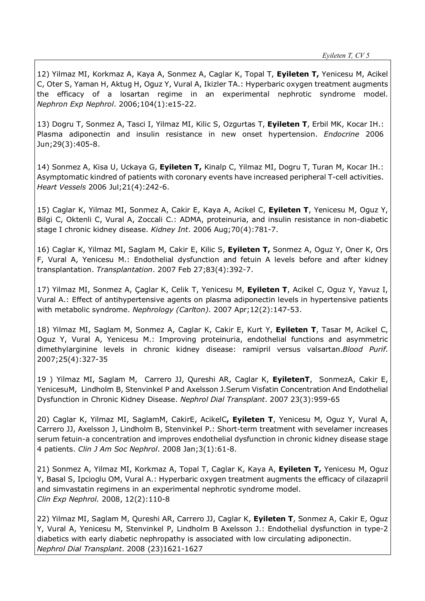12) Yilmaz MI, Korkmaz A, Kaya A, Sonmez A, Caglar K, Topal T, **Eyileten T,** Yenicesu M, Acikel C, Oter S, Yaman H, Aktug H, Oguz Y, Vural A, Ikizler TA.: Hyperbaric oxygen treatment augments the efficacy of a losartan regime in an experimental nephrotic syndrome model. *Nephron Exp Nephrol*. 2006;104(1):e15-22.

13) Dogru T, Sonmez A, Tasci I, Yilmaz MI, Kilic S, Ozgurtas T, **Eyileten T**, Erbil MK, Kocar IH.: Plasma adiponectin and insulin resistance in new onset hypertension. *Endocrine* 2006 Jun;29(3):405-8.

14) Sonmez A, Kisa U, Uckaya G, **Eyileten T,** Kinalp C, Yilmaz MI, Dogru T, Turan M, Kocar IH.: Asymptomatic kindred of patients with coronary events have increased peripheral T-cell activities. *Heart Vessels* 2006 Jul;21(4):242-6.

15) Caglar K, Yilmaz MI, Sonmez A, Cakir E, Kaya A, Acikel C, **Eyileten T**, Yenicesu M, Oguz Y, Bilgi C, Oktenli C, Vural A, Zoccali C.: ADMA, proteinuria, and insulin resistance in non-diabetic stage I chronic kidney disease. *Kidney Int*. 2006 Aug;70(4):781-7.

16) Caglar K, Yilmaz MI, Saglam M, Cakir E, Kilic S, **Eyileten T,** Sonmez A, Oguz Y, Oner K, Ors F, Vural A, Yenicesu M.: Endothelial dysfunction and fetuin A levels before and after kidney transplantation. *Transplantation*. 2007 Feb 27;83(4):392-7.

17) Yilmaz MI, Sonmez A, Çaglar K, Celik T, Yenicesu M, **Eyileten T**, Acikel C, Oguz Y, Yavuz I, Vural A.: Effect of antihypertensive agents on plasma adiponectin levels in hypertensive patients with metabolic syndrome. *Nephrology (Carlton).* 2007 Apr;12(2):147-53.

18) Yilmaz MI, Saglam M, Sonmez A, Caglar K, Cakir E, Kurt Y, **Eyileten T**, Tasar M, Acikel C, Oguz Y, Vural A, Yenicesu M.: Improving proteinuria, endothelial functions and asymmetric dimethylarginine levels in chronic kidney disease: ramipril versus valsartan.*Blood Purif*. 2007;25(4):327-35

19 ) Yilmaz MI, Saglam M, Carrero JJ, Qureshi AR, Caglar K, **EyiletenT**, SonmezA, Cakir E, YenicesuM, Lindholm B, Stenvinkel P and Axelsson J.Serum Visfatin Concentration And Endothelial Dysfunction in Chronic Kidney Disease. *Nephrol Dial Transplant*. 2007 23(3):959-65

20) Caglar K, Yilmaz MI, SaglamM, CakirE, AcikelC**, Eyileten T**, Yenicesu M, Oguz Y, Vural A, Carrero JJ, Axelsson J, Lindholm B, Stenvinkel P.: Short-term treatment with sevelamer increases serum fetuin-a concentration and improves endothelial dysfunction in chronic kidney disease stage 4 patients. *Clin J Am Soc Nephrol*. 2008 Jan;3(1):61-8.

21) Sonmez A, Yilmaz MI, Korkmaz A, Topal T, Caglar K, Kaya A, **Eyileten T,** Yenicesu M, Oguz Y, Basal S, Ipcioglu OM, Vural A.: Hyperbaric oxygen treatment augments the efficacy of cilazapril and simvastatin regimens in an experimental nephrotic syndrome model. *Clin Exp Nephrol.* 2008, 12(2):110-8

22) Yilmaz MI, Saglam M, Qureshi AR, Carrero JJ, Caglar K, **Eyileten T**, Sonmez A, Cakir E, Oguz Y, Vural A, Yenicesu M, Stenvinkel P, Lindholm B Axelsson J.: Endothelial dysfunction in type-2 diabetics with early diabetic nephropathy is associated with low circulating adiponectin. *Nephrol Dial Transplant*. 2008 (23)1621-1627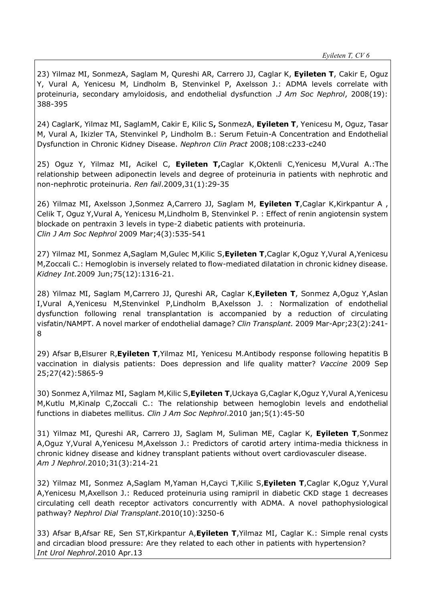23) Yilmaz MI, SonmezA, Saglam M, Qureshi AR, Carrero JJ, Caglar K, **Eyileten T**, Cakir E, Oguz Y, Vural A, Yenicesu M, Lindholm B, Stenvinkel P, Axelsson J.: ADMA levels correlate with proteinuria, secondary amyloidosis, and endothelial dysfunction .*J Am Soc Nephrol*, 2008(19): 388-395

24) CaglarK, Yilmaz MI, SaglamM, Cakir E, Kilic S**,** SonmezA, **Eyileten T**, Yenicesu M, Oguz, Tasar M, Vural A, Ikizler TA, Stenvinkel P, Lindholm B.: Serum Fetuin-A Concentration and Endothelial Dysfunction in Chronic Kidney Disease. *Nephron Clin Pract* 2008;108:c233-c240

25) Oguz Y, Yilmaz MI, Acikel C, **Eyileten T,**Caglar K,Oktenli C,Yenicesu M,Vural A.:The relationship between adiponectin levels and degree of proteinuria in patients with nephrotic and non-nephrotic proteinuria. *Ren fail*.2009,31(1):29-35

26) Yilmaz MI, Axelsson J,Sonmez A,Carrero JJ, Saglam M, **Eyileten T**,Caglar K,Kirkpantur A , Celik T, Oguz Y,Vural A, Yenicesu M,Lindholm B, Stenvinkel P. : Effect of renin angiotensin system blockade on pentraxin 3 levels in type-2 diabetic patients with proteinuria. *Clin J Am Soc Nephrol* 2009 Mar;4(3):535-541

27) Yilmaz MI, Sonmez A,Saglam M,Gulec M,Kilic S,**Eyileten T**,Caglar K,Oguz Y,Vural A,Yenicesu M,Zoccali C.: Hemoglobin is inversely related to flow-mediated dilatation in chronic kidney disease. *Kidney Int.*2009 Jun;75(12):1316-21.

28) Yilmaz MI, Saglam M,Carrero JJ, Qureshi AR, Caglar K,**Eyileten T**, Sonmez A,Oguz Y,Aslan I,Vural A,Yenicesu M,Stenvinkel P,Lindholm B,Axelsson J. : Normalization of endothelial dysfunction following renal transplantation is accompanied by a reduction of circulating visfatin/NAMPT. A novel marker of endothelial damage? *Clin Transplant.* 2009 Mar-Apr;23(2):241- 8

29) Afsar B,Elsurer R,**Eyileten T**,Yilmaz MI, Yenicesu M.Antibody response following hepatitis B vaccination in dialysis patients: Does depression and life quality matter? *Vaccine* 2009 Sep 25;27(42):5865-9

30) Sonmez A,Yilmaz MI, Saglam M,Kilic S,**Eyileten T**,Uckaya G,Caglar K,Oguz Y,Vural A,Yenicesu M,Kutlu M,Kinalp C,Zoccali C.: The relationship between hemoglobin levels and endothelial functions in diabetes mellitus. *Clin J Am Soc Nephrol*.2010 jan;5(1):45-50

31) Yilmaz MI, Qureshi AR, Carrero JJ, Saglam M, Suliman ME, Caglar K, **Eyileten T**,Sonmez A,Oguz Y,Vural A,Yenicesu M,Axelsson J.: Predictors of carotid artery intima-media thickness in chronic kidney disease and kidney transplant patients without overt cardiovasculer disease. *Am J Nephrol*.2010;31(3):214-21

32) Yilmaz MI, Sonmez A,Saglam M,Yaman H,Cayci T,Kilic S,**Eyileten T**,Caglar K,Oguz Y,Vural A,Yenicesu M,Axellson J.: Reduced proteinuria using ramipril in diabetic CKD stage 1 decreases circulating cell death receptor activators concurrently with ADMA. A novel pathophysiological pathway? *Nephrol Dial Transplant*.2010(10):3250-6

33) Afsar B,Afsar RE, Sen ST,Kirkpantur A,**Eyileten T**,Yilmaz MI, Caglar K.: Simple renal cysts and circadian blood pressure: Are they related to each other in patients with hypertension? *Int Urol Nephrol*.2010 Apr.13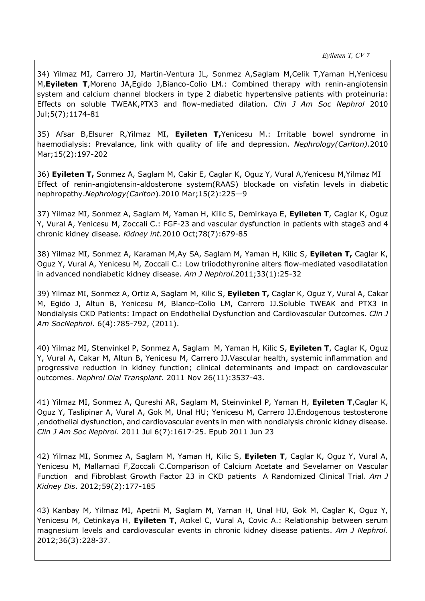34) Yilmaz MI, Carrero JJ, Martin-Ventura JL, Sonmez A,Saglam M,Celik T,Yaman H,Yenicesu M,**Eyileten T**,Moreno JA,Egido J,Bianco-Colio LM.: Combined therapy with renin-angiotensin system and calcium channel blockers in type 2 diabetic hypertensive patients with proteinuria: Effects on soluble TWEAK,PTX3 and flow-mediated dilation. *Clin J Am Soc Nephrol* 2010 Jul;5(7);1174-81

35) Afsar B,Elsurer R,Yilmaz MI, **Eyileten T,**Yenicesu M.: Irritable bowel syndrome in haemodialysis: Prevalance, link with quality of life and depression. *Nephrology(Carlton).*2010 Mar;15(2):197-202

36) **Eyileten T,** Sonmez A, Saglam M, Cakir E, Caglar K, Oguz Y, Vural A,Yenicesu M,Yilmaz MI Effect of renin-angiotensin-aldosterone system(RAAS) blockade on visfatin levels in diabetic nephropathy.*Nephrology(Carlton*).2010 Mar;15(2):225—9

37) Yilmaz MI, Sonmez A, Saglam M, Yaman H, Kilic S, Demirkaya E, **Eyileten T**, Caglar K, Oguz Y, Vural A, Yenicesu M, Zoccali C.: FGF-23 and vascular dysfunction in patients with stage3 and 4 chronic kidney disease. *Kidney int.*2010 Oct;78(7):679-85

38) Yilmaz MI, Sonmez A, Karaman M,Ay SA, Saglam M, Yaman H, Kilic S, **Eyileten T,** Caglar K, Oguz Y, Vural A, Yenicesu M, Zoccali C.: Low triiodothyronine alters flow-mediated vasodilatation in advanced nondiabetic kidney disease. *Am J Nephrol*.2011;33(1):25-32

39) Yilmaz MI, Sonmez A, Ortiz A, Saglam M, Kilic S, **Eyileten T,** Caglar K, Oguz Y, Vural A, Cakar M, Egido J, Altun B, Yenicesu M, Blanco-Colio LM, Carrero JJ.Soluble TWEAK and PTX3 in Nondialysis CKD Patients: Impact on Endothelial Dysfunction and Cardiovascular Outcomes. *Clin J Am SocNephrol*. 6(4):785-792, (2011).

40) Yilmaz MI, Stenvinkel P, Sonmez A, Saglam M, Yaman H, Kilic S, **Eyileten T**, Caglar K, Oguz Y, Vural A, Cakar M, Altun B, Yenicesu M, Carrero JJ.Vascular health, systemic inflammation and progressive reduction in kidney function; clinical determinants and impact on cardiovascular outcomes. *Nephrol Dial Transplant.* 2011 Nov 26(11):3537-43.

41) Yilmaz MI, Sonmez A, Qureshi AR, Saglam M, Steinvinkel P, Yaman H, **Eyileten T**,Caglar K, Oguz Y, Taslipinar A, Vural A, Gok M, Unal HU; Yenicesu M, Carrero JJ.Endogenous testosterone ,endothelial dysfunction, and cardiovascular events in men with nondialysis chronic kidney disease. *Clin J Am Soc Nephrol*. 2011 Jul 6(7):1617-25. Epub 2011 Jun 23

42) Yilmaz MI, Sonmez A, Saglam M, Yaman H, Kilic S, **Eyileten T**, Caglar K, Oguz Y, Vural A, Yenicesu M, Mallamaci F,Zoccali C.Comparison of Calcium Acetate and Sevelamer on Vascular Function and Fibroblast Growth Factor 23 in CKD patients A Randomized Clinical Trial. *Am J Kidney Dis*. 2012;59(2):177-185

43) Kanbay M, Yilmaz MI, Apetrii M, Saglam M, Yaman H, Unal HU, Gok M, Caglar K, Oguz Y, Yenicesu M, Cetinkaya H, **Eyileten T**, Acıkel C, Vural A, Covic A.: Relationship between serum magnesium levels and cardiovascular events in chronic kidney disease patients. *Am J Nephrol.* 2012;36(3):228-37.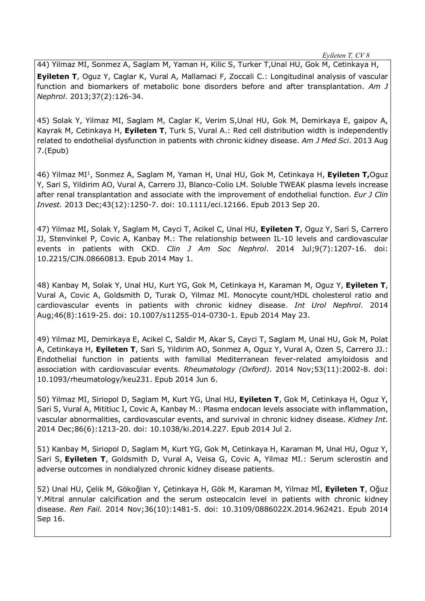*Eyileten T, CV 8*

44) Yilmaz MI, Sonmez A, Saglam M, Yaman H, Kilic S, Turker T,Unal HU, Gok M, Cetinkaya H, **Eyileten T**, Oguz Y, Caglar K, Vural A, Mallamaci F, Zoccali C.: Longitudinal analysis of vascular function and biomarkers of metabolic bone disorders before and after transplantation. *Am J Nephrol*. 2013;37(2):126-34.

45) Solak Y, Yilmaz MI, Saglam M, Caglar K, Verim S,Unal HU, Gok M, Demirkaya E, gaipov A, Kayrak M, Cetinkaya H, **Eyileten T**, Turk S, Vural A.: Red cell distribution width is independently related to endothelial dysfunction in patients with chronic kidney disease. *Am J Med Sci*. 2013 Aug 7.(Epub)

46) Yilmaz MI1, Sonmez A, Saglam M, Yaman H, Unal HU, Gok M, Cetinkaya H, **Eyileten T,**Oguz Y, Sari S, Yildirim AO, Vural A, Carrero JJ, Blanco-Colio LM. Soluble TWEAK plasma levels increase after renal transplantation and associate with the improvement of endothelial function. *Eur J Clin Invest.* 2013 Dec;43(12):1250-7. doi: 10.1111/eci.12166. Epub 2013 Sep 20.

47) Yilmaz MI, Solak Y, Saglam M, Cayci T, Acikel C, Unal HU, **Eyileten T**, Oguz Y, Sari S, Carrero JJ, Stenvinkel P, Covic A, Kanbay M.: The relationship between IL-10 levels and cardiovascular events in patients with CKD. *Clin J Am Soc Nephrol*. 2014 Jul;9(7):1207-16. doi: 10.2215/CJN.08660813. Epub 2014 May 1.

48) Kanbay M, Solak Y, Unal HU, Kurt YG, Gok M, Cetinkaya H, Karaman M, Oguz Y, **Eyileten T**, Vural A, Covic A, Goldsmith D, Turak O, Yilmaz MI. Monocyte count/HDL cholesterol ratio and cardiovascular events in patients with chronic kidney disease. *Int Urol Nephrol*. 2014 Aug;46(8):1619-25. doi: 10.1007/s11255-014-0730-1. Epub 2014 May 23.

49) Yilmaz MI, Demirkaya E, Acikel C, Saldir M, Akar S, Cayci T, Saglam M, Unal HU, Gok M, Polat A, Cetinkaya H, **Eyileten T**, Sari S, Yildirim AO, Sonmez A, Oguz Y, Vural A, Ozen S, Carrero JJ.: Endothelial function in patients with familial Mediterranean fever-related amyloidosis and association with cardiovascular events. *Rheumatology (Oxford)*. 2014 Nov;53(11):2002-8. doi: 10.1093/rheumatology/keu231. Epub 2014 Jun 6.

50) Yilmaz MI, Siriopol D, Saglam M, Kurt YG, Unal HU, **Eyileten T**, Gok M, Cetinkaya H, Oguz Y, Sari S, Vural A, Mititiuc I, Covic A, Kanbay M.: Plasma endocan levels associate with inflammation, vascular abnormalities, cardiovascular events, and survival in chronic kidney disease. *Kidney Int*. 2014 Dec;86(6):1213-20. doi: 10.1038/ki.2014.227. Epub 2014 Jul 2.

51) Kanbay M, Siriopol D, Saglam M, Kurt YG, Gok M, Cetinkaya H, Karaman M, Unal HU, Oguz Y, Sari S, **Eyileten T**, Goldsmith D, Vural A, Veisa G, Covic A, Yilmaz MI.: Serum sclerostin and adverse outcomes in nondialyzed chronic kidney disease patients.

52) Unal HU, Çelik M, Gökoğlan Y, Çetinkaya H, Gök M, Karaman M, Yilmaz Mİ, **Eyileten T**, Oğuz Y.Mitral annular calcification and the serum osteocalcin level in patients with chronic kidney disease. *Ren Fail.* 2014 Nov;36(10):1481-5. doi: 10.3109/0886022X.2014.962421. Epub 2014 Sep 16.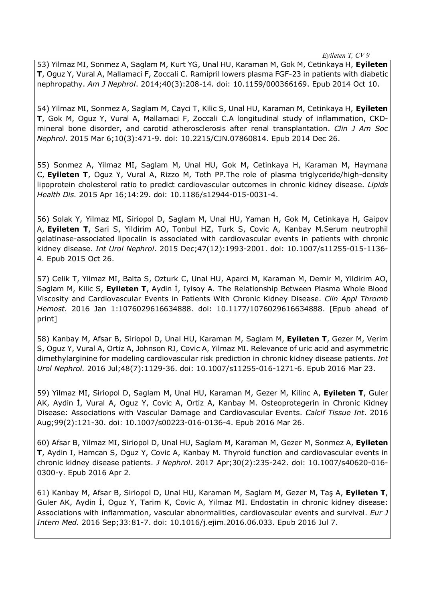*Eyileten T, CV 9*

53) Yilmaz MI, Sonmez A, Saglam M, Kurt YG, Unal HU, Karaman M, Gok M, Cetinkaya H, **Eyileten T**, Oguz Y, Vural A, Mallamaci F, Zoccali C. Ramipril lowers plasma FGF-23 in patients with diabetic nephropathy. *Am J Nephrol*. 2014;40(3):208-14. doi: 10.1159/000366169. Epub 2014 Oct 10.

54) Yilmaz MI, Sonmez A, Saglam M, Cayci T, Kilic S, Unal HU, Karaman M, Cetinkaya H, **Eyileten T**, Gok M, Oguz Y, Vural A, Mallamaci F, Zoccali C.A longitudinal study of inflammation, CKDmineral bone disorder, and carotid atherosclerosis after renal transplantation. *Clin J Am Soc Nephrol*. 2015 Mar 6;10(3):471-9. doi: 10.2215/CJN.07860814. Epub 2014 Dec 26.

55) Sonmez A, Yilmaz MI, Saglam M, Unal HU, Gok M, Cetinkaya H, Karaman M, Haymana C, **Eyileten T**, Oguz Y, Vural A, Rizzo M, Toth PP.The role of plasma triglyceride/high-density lipoprotein cholesterol ratio to predict cardiovascular outcomes in chronic kidney disease. *Lipids Health Dis.* 2015 Apr 16;14:29. doi: 10.1186/s12944-015-0031-4.

56) Solak Y, Yilmaz MI, Siriopol D, Saglam M, Unal HU, Yaman H, Gok M, Cetinkaya H, Gaipov A, **Eyileten T**, Sari S, Yildirim AO, Tonbul HZ, Turk S, Covic A, Kanbay M.Serum neutrophil gelatinase-associated lipocalin is associated with cardiovascular events in patients with chronic kidney disease. *Int Urol Nephrol*. 2015 Dec;47(12):1993-2001. doi: 10.1007/s11255-015-1136- 4. Epub 2015 Oct 26.

57) Celik T, Yilmaz MI, Balta S, Ozturk C, Unal HU, Aparci M, Karaman M, Demir M, Yildirim AO, Saglam M, Kilic S, **Eyileten T**, Aydin İ, Iyisoy A. The Relationship Between Plasma Whole Blood Viscosity and Cardiovascular Events in Patients With Chronic Kidney Disease. *Clin Appl Thromb Hemost.* 2016 Jan 1:1076029616634888. doi: 10.1177/1076029616634888. [Epub ahead of print]

58) Kanbay M, Afsar B, Siriopol D, Unal HU, Karaman M, Saglam M, **Eyileten T**, Gezer M, Verim S, Oguz Y, Vural A, Ortiz A, Johnson RJ, Covic A, Yilmaz MI. Relevance of uric acid and asymmetric dimethylarginine for modeling cardiovascular risk prediction in chronic kidney disease patients. *Int Urol Nephrol.* 2016 Jul;48(7):1129-36. doi: 10.1007/s11255-016-1271-6. Epub 2016 Mar 23.

59) Yilmaz MI, Siriopol D, Saglam M, Unal HU, Karaman M, Gezer M, Kilinc A, **Eyileten T**, Guler AK, Aydin İ, Vural A, Oguz Y, Covic A, Ortiz A, Kanbay M. Osteoprotegerin in Chronic Kidney Disease: Associations with Vascular Damage and Cardiovascular Events. *Calcif Tissue Int*. 2016 Aug;99(2):121-30. doi: 10.1007/s00223-016-0136-4. Epub 2016 Mar 26.

60) Afsar B, Yilmaz MI, Siriopol D, Unal HU, Saglam M, Karaman M, Gezer M, Sonmez A, **Eyileten T**, Aydin I, Hamcan S, Oguz Y, Covic A, Kanbay M. Thyroid function and cardiovascular events in chronic kidney disease patients. *J Nephrol.* 2017 Apr;30(2):235-242. doi: 10.1007/s40620-016- 0300-y. Epub 2016 Apr 2.

61) Kanbay M, Afsar B, Siriopol D, Unal HU, Karaman M, Saglam M, Gezer M, Taş A, **Eyileten T**, Guler AK, Aydin İ, Oguz Y, Tarim K, Covic A, Yilmaz MI. Endostatin in chronic kidney disease: Associations with inflammation, vascular abnormalities, cardiovascular events and survival. *Eur J Intern Med.* 2016 Sep;33:81-7. doi: 10.1016/j.ejim.2016.06.033. Epub 2016 Jul 7.